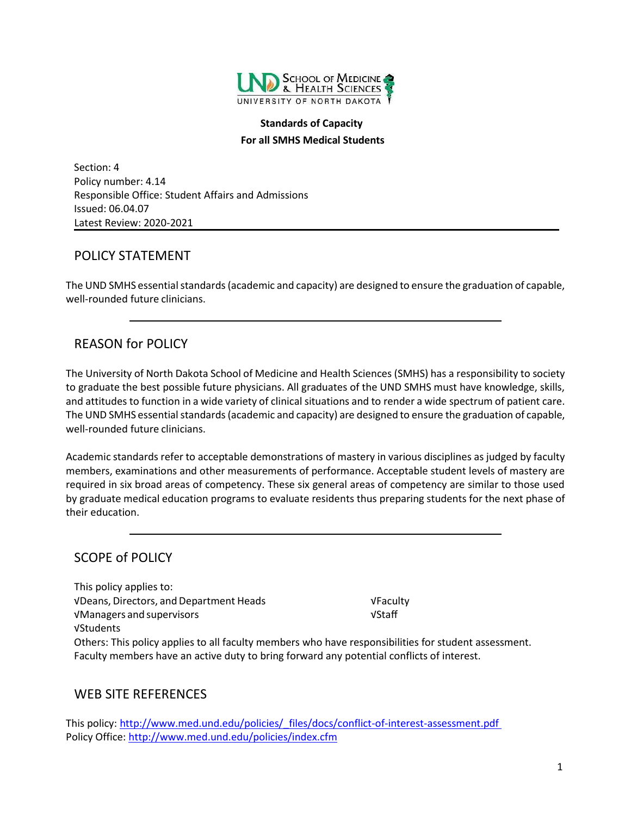

#### **Standards of Capacity For all SMHS Medical Students**

Section: 4 Policy number: 4.14 Responsible Office: Student Affairs and Admissions Issued: 06.04.07 Latest Review: 2020-2021

### <span id="page-0-0"></span>POLICY STATEMENT

The UND SMHS essential standards (academic and capacity) are designed to ensure the graduation of capable, well-rounded future clinicians.

# <span id="page-0-1"></span>REASON for POLICY

The University of North Dakota School of Medicine and Health Sciences (SMHS) has a responsibility to society to graduate the best possible future physicians. All graduates of the UND SMHS must have knowledge, skills, and attitudes to function in a wide variety of clinical situations and to render a wide spectrum of patient care. The UND SMHS essential standards (academic and capacity) are designed to ensure the graduation of capable, well-rounded future clinicians.

Academic standards refer to acceptable demonstrations of mastery in various disciplines as judged by faculty members, examinations and other measurements of performance. Acceptable student levels of mastery are required in six broad areas of competency. These six general areas of competency are similar to those used by graduate medical education programs to evaluate residents thus preparing students for the next phase of their education.

# <span id="page-0-2"></span>SCOPE of POLICY

This policy applies to: √Deans, Directors, andDepartment Heads √Faculty √Managers and supervisors √Staff √Students Others: This policy applies to all faculty members who have responsibilities for student assessment. Faculty members have an active duty to bring forward any potential conflicts of interest.

### <span id="page-0-3"></span>WEB SITE REFERENCES

This policy: [http://www.med.und.edu/policies/\\_files/docs/conflict-of-interest-assessment.pdf](http://www.med.und.edu/policies/_files/docs/conflict-of-interest-assessment.pdf) Policy Office[: http://www.med.und.edu/policies/index.cfm](http://www.med.und.edu/policies/index.cfm)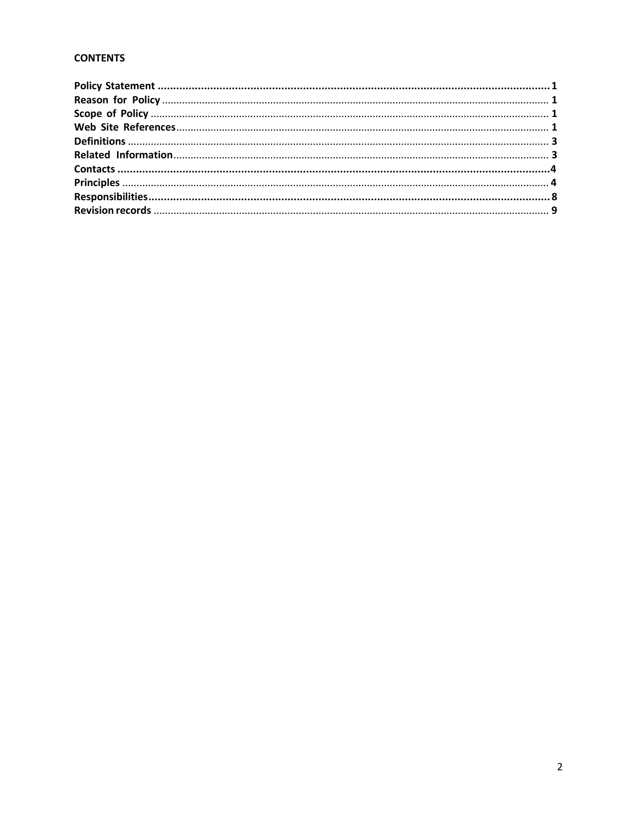#### **CONTENTS**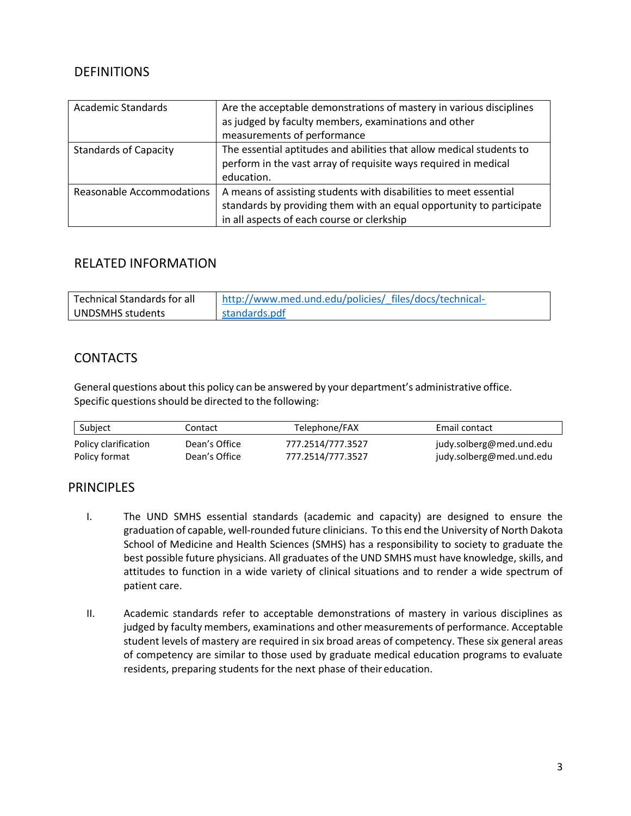### <span id="page-2-0"></span>**DEFINITIONS**

| <b>Academic Standards</b>    | Are the acceptable demonstrations of mastery in various disciplines<br>as judged by faculty members, examinations and other<br>measurements of performance                              |
|------------------------------|-----------------------------------------------------------------------------------------------------------------------------------------------------------------------------------------|
| <b>Standards of Capacity</b> | The essential aptitudes and abilities that allow medical students to<br>perform in the vast array of requisite ways required in medical<br>education.                                   |
| Reasonable Accommodations    | A means of assisting students with disabilities to meet essential<br>standards by providing them with an equal opportunity to participate<br>in all aspects of each course or clerkship |

#### <span id="page-2-1"></span>RELATED INFORMATION

| Technical Standards for all | http://www.med.und.edu/policies/ files/docs/technical- |  |
|-----------------------------|--------------------------------------------------------|--|
| UNDSMHS students            | standards.pdf                                          |  |

### <span id="page-2-2"></span>**CONTACTS**

General questions about this policy can be answered by your department's administrative office. Specific questions should be directed to the following:

| Subject              | Contact       | Telephone/FAX     | Email contact            |
|----------------------|---------------|-------------------|--------------------------|
| Policy clarification | Dean's Office | 777.2514/777.3527 | judy.solberg@med.und.edu |
| Policy format        | Dean's Office | 777.2514/777.3527 | judy.solberg@med.und.edu |

### <span id="page-2-3"></span>**PRINCIPLES**

- I. The UND SMHS essential standards (academic and capacity) are designed to ensure the graduation of capable, well-rounded future clinicians. To this end the University of North Dakota School of Medicine and Health Sciences (SMHS) has a responsibility to society to graduate the best possible future physicians. All graduates of the UND SMHS must have knowledge, skills, and attitudes to function in a wide variety of clinical situations and to render a wide spectrum of patient care.
- II. Academic standards refer to acceptable demonstrations of mastery in various disciplines as judged by faculty members, examinations and other measurements of performance. Acceptable student levels of mastery are required in six broad areas of competency. These six general areas of competency are similar to those used by graduate medical education programs to evaluate residents, preparing students for the next phase of their education.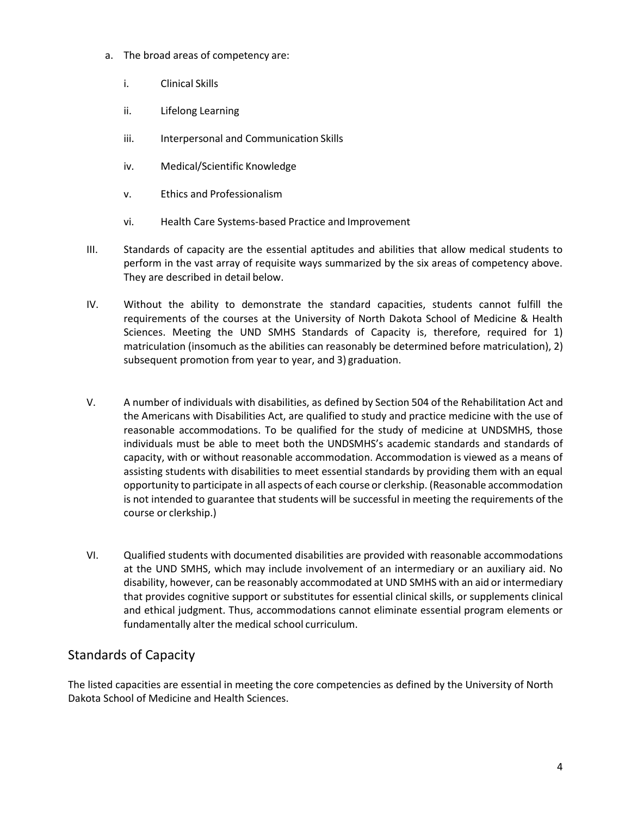- a. The broad areas of competency are:
	- i. Clinical Skills
	- ii. Lifelong Learning
	- iii. Interpersonal and Communication Skills
	- iv. Medical/Scientific Knowledge
	- v. Ethics and Professionalism
	- vi. Health Care Systems-based Practice and Improvement
- III. Standards of capacity are the essential aptitudes and abilities that allow medical students to perform in the vast array of requisite ways summarized by the six areas of competency above. They are described in detail below.
- IV. Without the ability to demonstrate the standard capacities, students cannot fulfill the requirements of the courses at the University of North Dakota School of Medicine & Health Sciences. Meeting the UND SMHS Standards of Capacity is, therefore, required for 1) matriculation (insomuch as the abilities can reasonably be determined before matriculation), 2) subsequent promotion from year to year, and 3) graduation.
- V. A number of individuals with disabilities, as defined by Section 504 of the Rehabilitation Act and the Americans with Disabilities Act, are qualified to study and practice medicine with the use of reasonable accommodations. To be qualified for the study of medicine at UNDSMHS, those individuals must be able to meet both the UNDSMHS's academic standards and standards of capacity, with or without reasonable accommodation. Accommodation is viewed as a means of assisting students with disabilities to meet essential standards by providing them with an equal opportunity to participate in all aspects of each course or clerkship. (Reasonable accommodation is not intended to guarantee that students will be successful in meeting the requirements of the course or clerkship.)
- VI. Qualified students with documented disabilities are provided with reasonable accommodations at the UND SMHS, which may include involvement of an intermediary or an auxiliary aid. No disability, however, can be reasonably accommodated at UND SMHS with an aid or intermediary that provides cognitive support or substitutes for essential clinical skills, or supplements clinical and ethical judgment. Thus, accommodations cannot eliminate essential program elements or fundamentally alter the medical school curriculum.

# Standards of Capacity

The listed capacities are essential in meeting the core competencies as defined by the University of North Dakota School of Medicine and Health Sciences.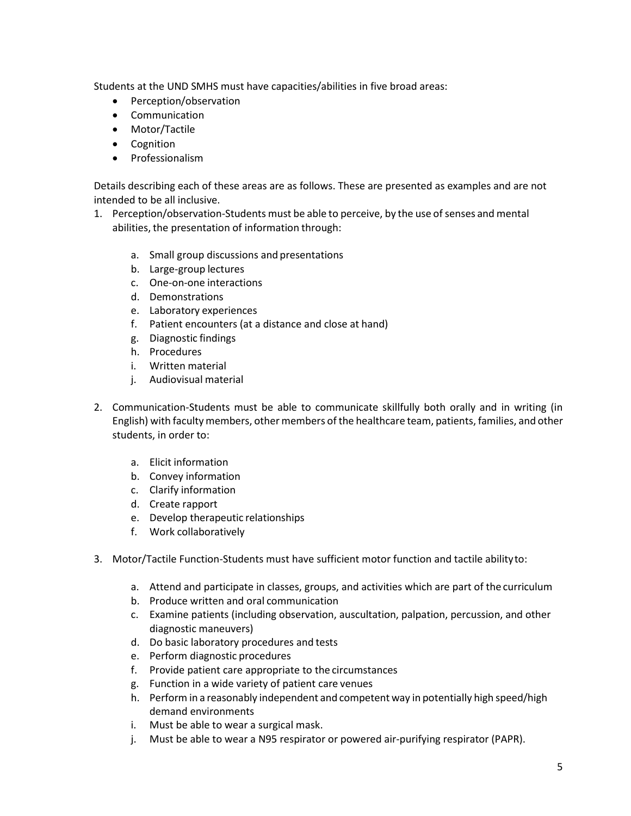Students at the UND SMHS must have capacities/abilities in five broad areas:

- Perception/observation
- Communication
- Motor/Tactile
- Cognition
- Professionalism

Details describing each of these areas are as follows. These are presented as examples and are not intended to be all inclusive.

- 1. Perception/observation-Students must be able to perceive, by the use of senses and mental abilities, the presentation of information through:
	- a. Small group discussions and presentations
	- b. Large-group lectures
	- c. One-on-one interactions
	- d. Demonstrations
	- e. Laboratory experiences
	- f. Patient encounters (at a distance and close at hand)
	- g. Diagnostic findings
	- h. Procedures
	- i. Written material
	- j. Audiovisual material
- 2. Communication-Students must be able to communicate skillfully both orally and in writing (in English) with faculty members, othermembers of the healthcare team, patients, families, and other students, in order to:
	- a. Elicit information
	- b. Convey information
	- c. Clarify information
	- d. Create rapport
	- e. Develop therapeutic relationships
	- f. Work collaboratively
- 3. Motor/Tactile Function-Students must have sufficient motor function and tactile abilityto:
	- a. Attend and participate in classes, groups, and activities which are part of the curriculum
	- b. Produce written and oral communication
	- c. Examine patients (including observation, auscultation, palpation, percussion, and other diagnostic maneuvers)
	- d. Do basic laboratory procedures and tests
	- e. Perform diagnostic procedures
	- f. Provide patient care appropriate to the circumstances
	- g. Function in a wide variety of patient care venues
	- h. Perform in a reasonably independent and competent way in potentially high speed/high demand environments
	- i. Must be able to wear a surgical mask.
	- j. Must be able to wear a N95 respirator or powered air-purifying respirator (PAPR).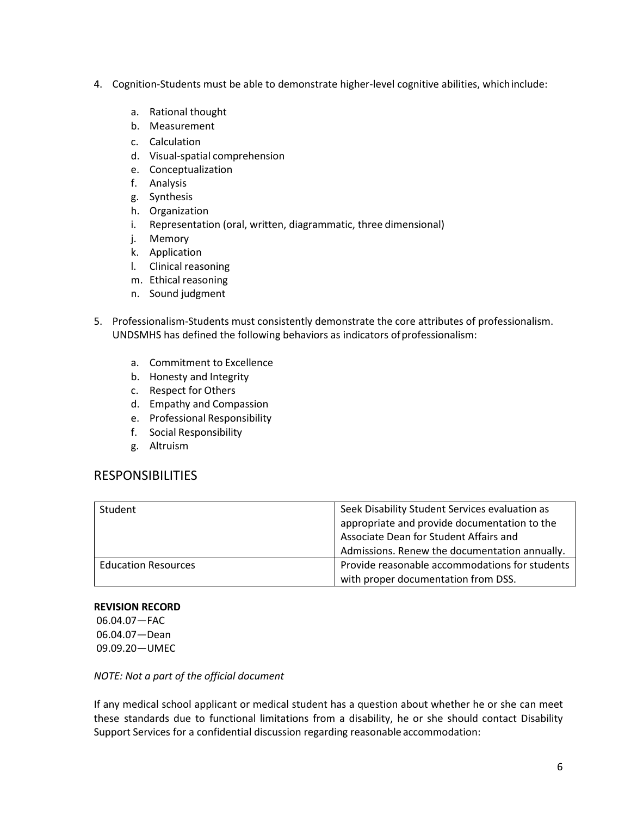- 4. Cognition-Students must be able to demonstrate higher-level cognitive abilities, whichinclude:
	- a. Rational thought
	- b. Measurement
	- c. Calculation
	- d. Visual-spatial comprehension
	- e. Conceptualization
	- f. Analysis
	- g. Synthesis
	- h. Organization
	- i. Representation (oral, written, diagrammatic, three dimensional)
	- j. Memory
	- k. Application
	- l. Clinical reasoning
	- m. Ethical reasoning
	- n. Sound judgment
- 5. Professionalism-Students must consistently demonstrate the core attributes of professionalism. UNDSMHS has defined the following behaviors as indicators ofprofessionalism:
	- a. Commitment to Excellence
	- b. Honesty and Integrity
	- c. Respect for Others
	- d. Empathy and Compassion
	- e. Professional Responsibility
	- f. Social Responsibility
	- g. Altruism

#### <span id="page-5-0"></span>RESPONSIBILITIES

| Student                    | Seek Disability Student Services evaluation as<br>appropriate and provide documentation to the<br>Associate Dean for Student Affairs and |
|----------------------------|------------------------------------------------------------------------------------------------------------------------------------------|
|                            | Admissions. Renew the documentation annually.                                                                                            |
| <b>Education Resources</b> | Provide reasonable accommodations for students                                                                                           |
|                            | with proper documentation from DSS.                                                                                                      |

#### **REVISION RECORD**

06.04.07—FAC 06.04.07—Dean 09.09.20—UMEC

*NOTE: Not a part of the official document*

If any medical school applicant or medical student has a question about whether he or she can meet these standards due to functional limitations from a disability, he or she should contact Disability Support Services for a confidential discussion regarding reasonable accommodation: